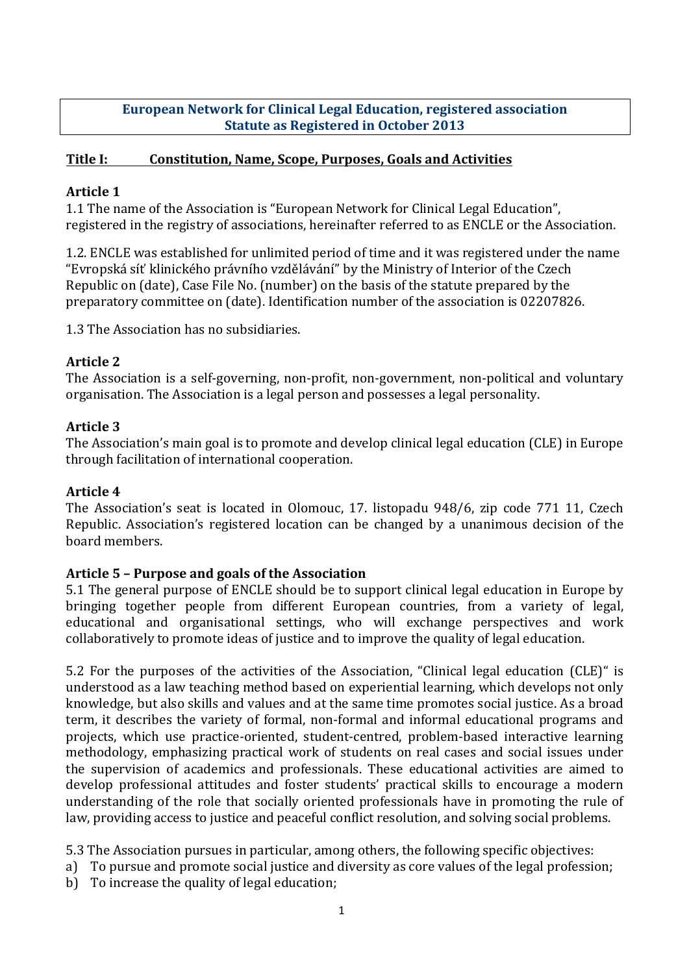## **European Network for Clinical Legal Education, registered association Statute as Registered in October 2013**

## **Title I:** Constitution, Name, Scope, Purposes, Goals and Activities

### **Article 1**

1.1 The name of the Association is "European Network for Clinical Legal Education", registered in the registry of associations, hereinafter referred to as ENCLE or the Association.

1.2. ENCLE was established for unlimited period of time and it was registered under the name "Evropská síť klinického právního vzdělávání" by the Ministry of Interior of the Czech Republic on (date), Case File No. (number) on the basis of the statute prepared by the preparatory committee on (date). Identification number of the association is 02207826.

1.3 The Association has no subsidiaries.

# **Article 2**

The Association is a self-governing, non-profit, non-government, non-political and voluntary organisation. The Association is a legal person and possesses a legal personality.

## **Article 3**

The Association's main goal is to promote and develop clinical legal education (CLE) in Europe through facilitation of international cooperation.

#### **Article 4**

The Association's seat is located in Olomouc, 17. listopadu 948/6, zip code 771 11, Czech Republic. Association's registered location can be changed by a unanimous decision of the board members. 

# **Article 5 – Purpose and goals of the Association**

5.1 The general purpose of ENCLE should be to support clinical legal education in Europe by bringing together people from different European countries, from a variety of legal, educational and organisational settings, who will exchange perspectives and work collaboratively to promote ideas of justice and to improve the quality of legal education.

5.2 For the purposes of the activities of the Association, "Clinical legal education (CLE)" is understood as a law teaching method based on experiential learning, which develops not only knowledge, but also skills and values and at the same time promotes social justice. As a broad term, it describes the variety of formal, non-formal and informal educational programs and projects, which use practice-oriented, student-centred, problem-based interactive learning methodology, emphasizing practical work of students on real cases and social issues under the supervision of academics and professionals. These educational activities are aimed to develop professional attitudes and foster students' practical skills to encourage a modern understanding of the role that socially oriented professionals have in promoting the rule of law, providing access to justice and peaceful conflict resolution, and solving social problems.

5.3 The Association pursues in particular, among others, the following specific objectives:

- a) To pursue and promote social justice and diversity as core values of the legal profession;
- b) To increase the quality of legal education;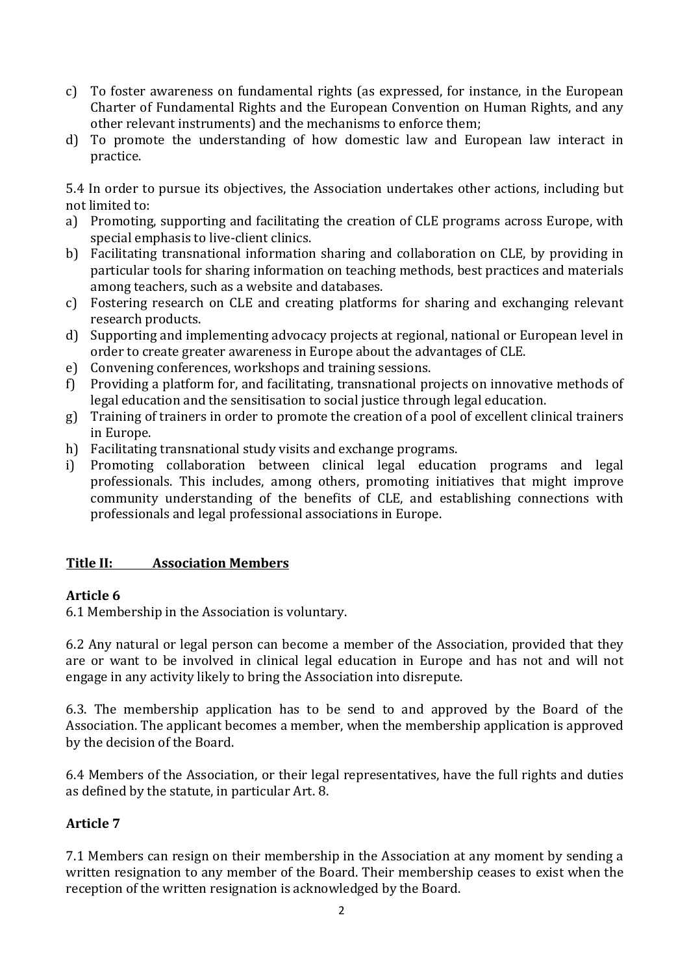- c) To foster awareness on fundamental rights (as expressed, for instance, in the European Charter of Fundamental Rights and the European Convention on Human Rights, and any other relevant instruments) and the mechanisms to enforce them;
- d) To promote the understanding of how domestic law and European law interact in practice.

5.4 In order to pursue its objectives, the Association undertakes other actions, including but not limited to:

- a) Promoting, supporting and facilitating the creation of CLE programs across Europe, with special emphasis to live-client clinics.
- b) Facilitating transnational information sharing and collaboration on CLE, by providing in particular tools for sharing information on teaching methods, best practices and materials among teachers, such as a website and databases.
- c) Fostering research on CLE and creating platforms for sharing and exchanging relevant research products.
- d) Supporting and implementing advocacy projects at regional, national or European level in order to create greater awareness in Europe about the advantages of CLE.
- e) Convening conferences, workshops and training sessions.
- f) Providing a platform for, and facilitating, transnational projects on innovative methods of legal education and the sensitisation to social justice through legal education.
- g) Training of trainers in order to promote the creation of a pool of excellent clinical trainers in Europe.
- h) Facilitating transnational study visits and exchange programs.
- i) Promoting collaboration between clinical legal education programs and legal professionals. This includes, among others, promoting initiatives that might improve community understanding of the benefits of CLE, and establishing connections with professionals and legal professional associations in Europe.

#### **Title II: Association Members**

#### Article 6

6.1 Membership in the Association is voluntary.

6.2 Any natural or legal person can become a member of the Association, provided that they are or want to be involved in clinical legal education in Europe and has not and will not engage in any activity likely to bring the Association into disrepute.

6.3. The membership application has to be send to and approved by the Board of the Association. The applicant becomes a member, when the membership application is approved by the decision of the Board.

6.4 Members of the Association, or their legal representatives, have the full rights and duties as defined by the statute, in particular Art. 8.

# **Article 7**

7.1 Members can resign on their membership in the Association at any moment by sending a written resignation to any member of the Board. Their membership ceases to exist when the reception of the written resignation is acknowledged by the Board.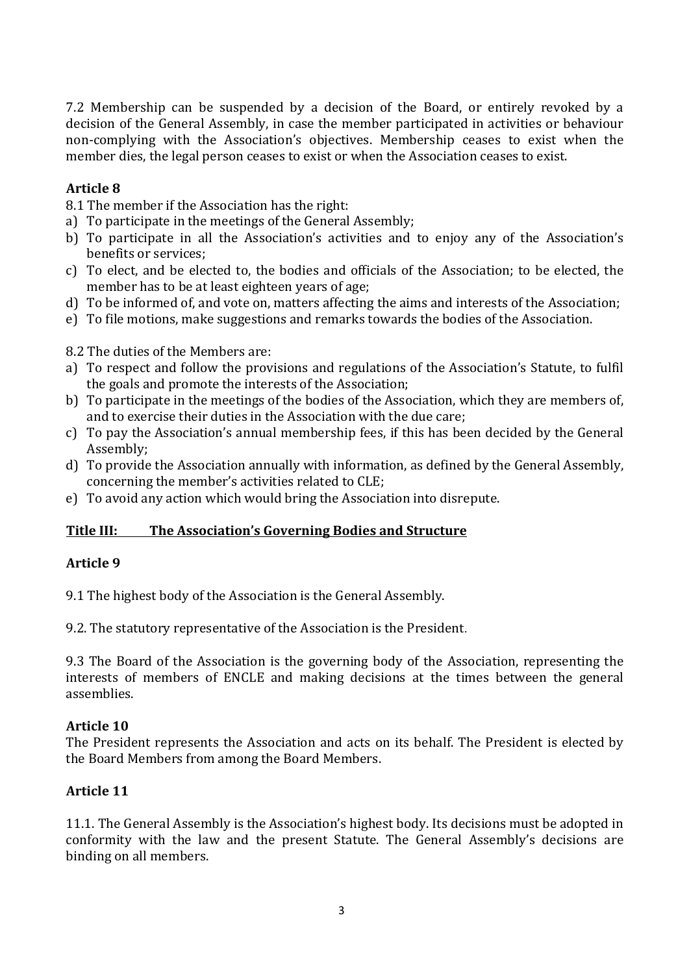7.2 Membership can be suspended by a decision of the Board, or entirely revoked by a decision of the General Assembly, in case the member participated in activities or behaviour non-complying with the Association's objectives. Membership ceases to exist when the member dies, the legal person ceases to exist or when the Association ceases to exist.

## **Article 8**

8.1 The member if the Association has the right:

- a) To participate in the meetings of the General Assembly;
- b) To participate in all the Association's activities and to enjoy any of the Association's benefits or services:
- c) To elect, and be elected to, the bodies and officials of the Association; to be elected, the member has to be at least eighteen years of age;
- d) To be informed of, and vote on, matters affecting the aims and interests of the Association;
- e) To file motions, make suggestions and remarks towards the bodies of the Association.

8.2 The duties of the Members are:

- a) To respect and follow the provisions and regulations of the Association's Statute, to fulfil the goals and promote the interests of the Association;
- b) To participate in the meetings of the bodies of the Association, which they are members of, and to exercise their duties in the Association with the due care;
- c) To pay the Association's annual membership fees, if this has been decided by the General Assembly;
- d) To provide the Association annually with information, as defined by the General Assembly, concerning the member's activities related to CLE;
- e) To avoid any action which would bring the Association into disrepute.

# **Title III:** The Association's Governing Bodies and Structure

#### **Article 9**

9.1 The highest body of the Association is the General Assembly.

9.2. The statutory representative of the Association is the President.

9.3 The Board of the Association is the governing body of the Association, representing the interests of members of ENCLE and making decisions at the times between the general assemblies. 

#### **Article 10**

The President represents the Association and acts on its behalf. The President is elected by the Board Members from among the Board Members.

# **Article 11**

11.1. The General Assembly is the Association's highest body. Its decisions must be adopted in conformity with the law and the present Statute. The General Assembly's decisions are binding on all members.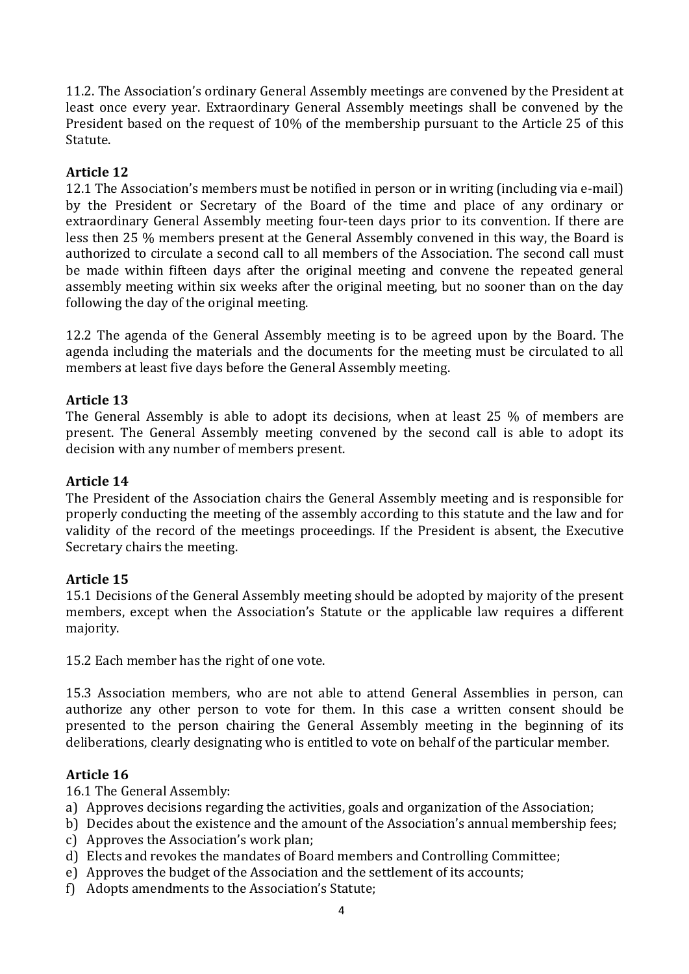11.2. The Association's ordinary General Assembly meetings are convened by the President at least once every year. Extraordinary General Assembly meetings shall be convened by the President based on the request of 10% of the membership pursuant to the Article 25 of this Statute.

## **Article 12**

12.1 The Association's members must be notified in person or in writing (including via e-mail) by the President or Secretary of the Board of the time and place of any ordinary or extraordinary General Assembly meeting four-teen days prior to its convention. If there are less then 25 % members present at the General Assembly convened in this way, the Board is authorized to circulate a second call to all members of the Association. The second call must be made within fifteen days after the original meeting and convene the repeated general assembly meeting within six weeks after the original meeting, but no sooner than on the day following the day of the original meeting.

12.2 The agenda of the General Assembly meeting is to be agreed upon by the Board. The agenda including the materials and the documents for the meeting must be circulated to all members at least five days before the General Assembly meeting.

## **Article 13**

The General Assembly is able to adopt its decisions, when at least 25 % of members are present. The General Assembly meeting convened by the second call is able to adopt its decision with any number of members present.

## **Article 14**

The President of the Association chairs the General Assembly meeting and is responsible for properly conducting the meeting of the assembly according to this statute and the law and for validity of the record of the meetings proceedings. If the President is absent, the Executive Secretary chairs the meeting.

#### **Article 15**

15.1 Decisions of the General Assembly meeting should be adopted by majority of the present members, except when the Association's Statute or the applicable law requires a different majority.

15.2 Each member has the right of one vote.

15.3 Association members, who are not able to attend General Assemblies in person, can authorize any other person to vote for them. In this case a written consent should be presented to the person chairing the General Assembly meeting in the beginning of its deliberations, clearly designating who is entitled to vote on behalf of the particular member.

#### **Article 16**

16.1 The General Assembly:

- a) Approves decisions regarding the activities, goals and organization of the Association;
- b) Decides about the existence and the amount of the Association's annual membership fees;
- c) Approves the Association's work plan;
- d) Elects and revokes the mandates of Board members and Controlling Committee;
- e) Approves the budget of the Association and the settlement of its accounts;
- f) Adopts amendments to the Association's Statute;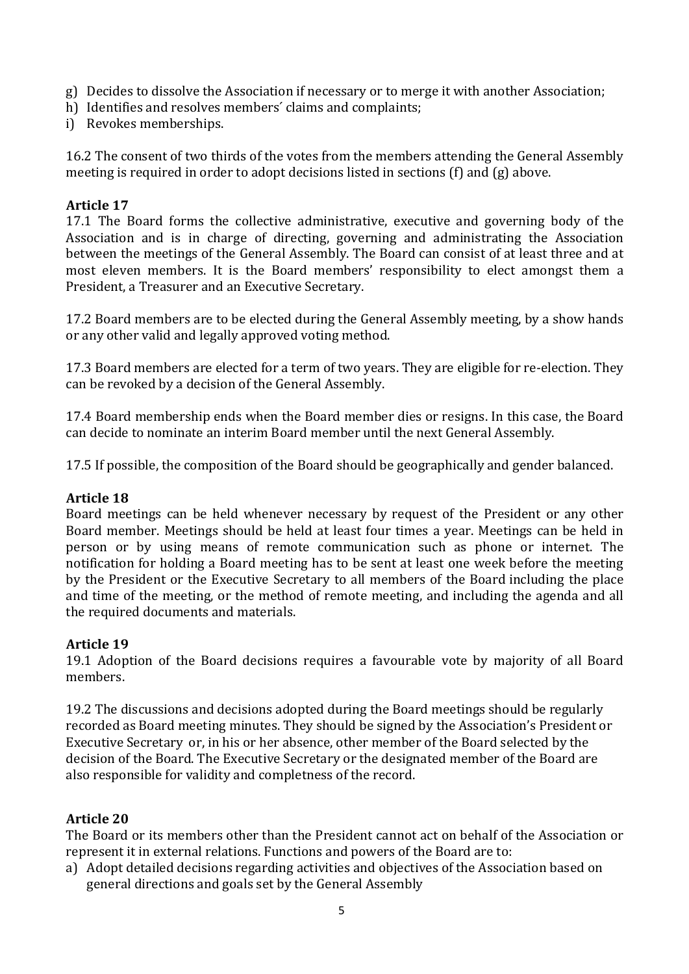- g) Decides to dissolve the Association if necessary or to merge it with another Association;
- h) Identifies and resolves members' claims and complaints;
- i) Revokes memberships.

16.2 The consent of two thirds of the votes from the members attending the General Assembly meeting is required in order to adopt decisions listed in sections  $(f)$  and  $(g)$  above.

#### **Article 17**

17.1 The Board forms the collective administrative, executive and governing body of the Association and is in charge of directing, governing and administrating the Association between the meetings of the General Assembly. The Board can consist of at least three and at most eleven members. It is the Board members' responsibility to elect amongst them a President, a Treasurer and an Executive Secretary.

17.2 Board members are to be elected during the General Assembly meeting, by a show hands or any other valid and legally approved voting method.

17.3 Board members are elected for a term of two years. They are eligible for re-election. They can be revoked by a decision of the General Assembly.

17.4 Board membership ends when the Board member dies or resigns. In this case, the Board can decide to nominate an interim Board member until the next General Assembly.

17.5 If possible, the composition of the Board should be geographically and gender balanced.

#### **Article 18**

Board meetings can be held whenever necessary by request of the President or any other Board member. Meetings should be held at least four times a year. Meetings can be held in person or by using means of remote communication such as phone or internet. The notification for holding a Board meeting has to be sent at least one week before the meeting by the President or the Executive Secretary to all members of the Board including the place and time of the meeting, or the method of remote meeting, and including the agenda and all the required documents and materials.

# **Article 19**

19.1 Adoption of the Board decisions requires a favourable vote by majority of all Board members.

19.2 The discussions and decisions adopted during the Board meetings should be regularly recorded as Board meeting minutes. They should be signed by the Association's President or Executive Secretary or, in his or her absence, other member of the Board selected by the decision of the Board. The Executive Secretary or the designated member of the Board are also responsible for validity and completness of the record.

# **Article 20**

The Board or its members other than the President cannot act on behalf of the Association or represent it in external relations. Functions and powers of the Board are to:

a) Adopt detailed decisions regarding activities and objectives of the Association based on general directions and goals set by the General Assembly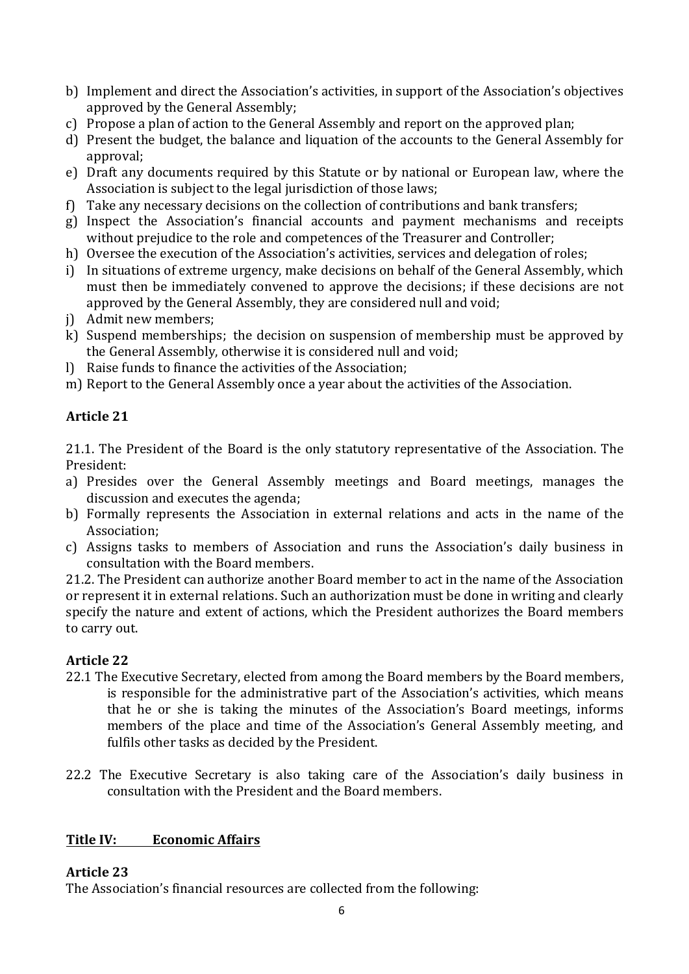- b) Implement and direct the Association's activities, in support of the Association's objectives approved by the General Assembly;
- c) Propose a plan of action to the General Assembly and report on the approved plan;
- d) Present the budget, the balance and liquation of the accounts to the General Assembly for approval;
- e) Draft any documents required by this Statute or by national or European law, where the Association is subject to the legal jurisdiction of those laws;
- f) Take any necessary decisions on the collection of contributions and bank transfers;
- g) Inspect the Association's financial accounts and payment mechanisms and receipts without prejudice to the role and competences of the Treasurer and Controller:
- h) Oversee the execution of the Association's activities, services and delegation of roles;
- i) In situations of extreme urgency, make decisions on behalf of the General Assembly, which must then be immediately convened to approve the decisions; if these decisions are not approved by the General Assembly, they are considered null and void;
- j) Admit new members:
- k) Suspend memberships; the decision on suspension of membership must be approved by the General Assembly, otherwise it is considered null and void;
- l) Raise funds to finance the activities of the Association:
- m) Report to the General Assembly once a year about the activities of the Association.

# **Article 21**

21.1. The President of the Board is the only statutory representative of the Association. The President:

- a) Presides over the General Assembly meetings and Board meetings, manages the discussion and executes the agenda;
- b) Formally represents the Association in external relations and acts in the name of the Association;
- c) Assigns tasks to members of Association and runs the Association's daily business in consultation with the Board members.

21.2. The President can authorize another Board member to act in the name of the Association or represent it in external relations. Such an authorization must be done in writing and clearly specify the nature and extent of actions, which the President authorizes the Board members to carry out.

# **Article 22**

- 22.1 The Executive Secretary, elected from among the Board members by the Board members, is responsible for the administrative part of the Association's activities, which means that he or she is taking the minutes of the Association's Board meetings, informs members of the place and time of the Association's General Assembly meeting, and fulfils other tasks as decided by the President.
- 22.2 The Executive Secretary is also taking care of the Association's daily business in consultation with the President and the Board members.

# **Title IV: Economic Affairs**

# **Article 23**

The Association's financial resources are collected from the following: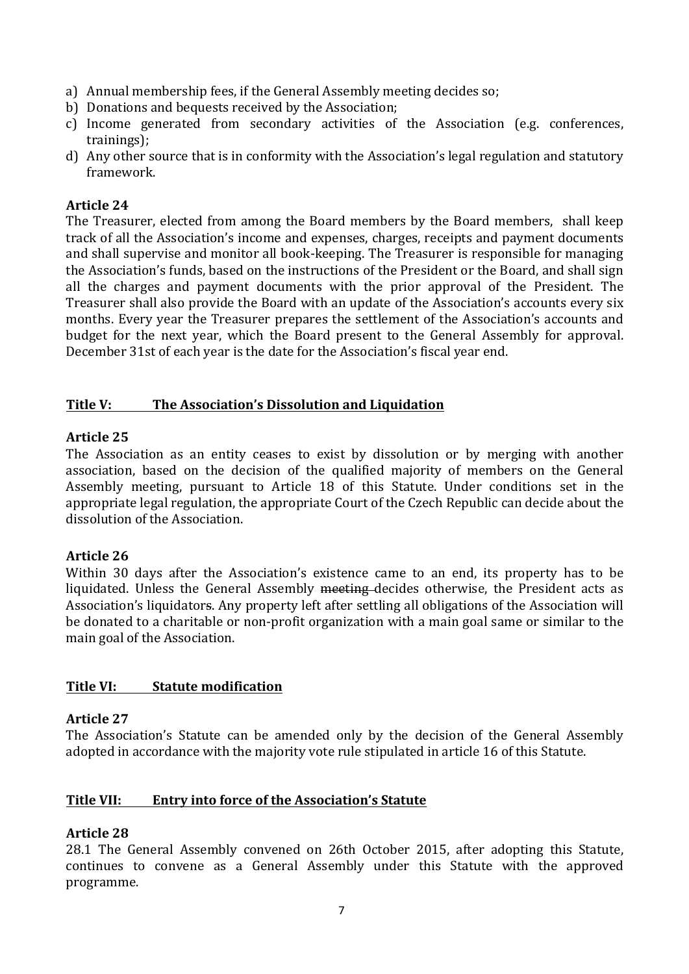- a) Annual membership fees, if the General Assembly meeting decides so;
- b) Donations and bequests received by the Association;
- c) Income generated from secondary activities of the Association (e.g. conferences, trainings);
- d) Any other source that is in conformity with the Association's legal regulation and statutory framework.

#### **Article 24**

The Treasurer, elected from among the Board members by the Board members, shall keep track of all the Association's income and expenses, charges, receipts and payment documents and shall supervise and monitor all book-keeping. The Treasurer is responsible for managing the Association's funds, based on the instructions of the President or the Board, and shall sign all the charges and payment documents with the prior approval of the President. The Treasurer shall also provide the Board with an update of the Association's accounts every six months. Every year the Treasurer prepares the settlement of the Association's accounts and budget for the next year, which the Board present to the General Assembly for approval. December 31st of each year is the date for the Association's fiscal year end.

#### **Title V:** The Association's Dissolution and Liquidation

#### **Article 25**

The Association as an entity ceases to exist by dissolution or by merging with another association, based on the decision of the qualified majority of members on the General Assembly meeting, pursuant to Article 18 of this Statute. Under conditions set in the appropriate legal regulation, the appropriate Court of the Czech Republic can decide about the dissolution of the Association.

#### **Article 26**

Within 30 days after the Association's existence came to an end, its property has to be liquidated. Unless the General Assembly meeting decides otherwise, the President acts as Association's liquidators. Any property left after settling all obligations of the Association will be donated to a charitable or non-profit organization with a main goal same or similar to the main goal of the Association.

#### **Title VI:** Statute modification

#### **Article 27**

The Association's Statute can be amended only by the decision of the General Assembly adopted in accordance with the majority vote rule stipulated in article 16 of this Statute.

#### **Title VII:** Entry into force of the Association's Statute

#### **Article 28**

28.1 The General Assembly convened on 26th October 2015, after adopting this Statute, continues to convene as a General Assembly under this Statute with the approved programme.